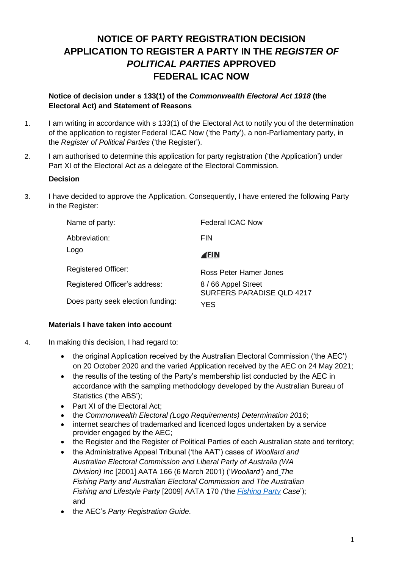# **NOTICE OF PARTY REGISTRATION DECISION APPLICATION TO REGISTER A PARTY IN THE** *REGISTER OF POLITICAL PARTIES* **APPROVED FEDERAL ICAC NOW**

#### **Notice of decision under s 133(1) of the** *Commonwealth Electoral Act 1918* **(the Electoral Act) and Statement of Reasons**

- 1. I am writing in accordance with s 133(1) of the Electoral Act to notify you of the determination of the application to register Federal ICAC Now ('the Party'), a non-Parliamentary party, in the *Register of Political Parties* ('the Register').
- 2. I am authorised to determine this application for party registration ('the Application') under Part XI of the Electoral Act as a delegate of the Electoral Commission.

#### **Decision**

3. I have decided to approve the Application. Consequently, I have entered the following Party in the Register:

| Name of party:                    | <b>Federal ICAC Now</b>                        |
|-----------------------------------|------------------------------------------------|
| Abbreviation:                     | <b>FIN</b>                                     |
| Logo                              | (FIN                                           |
| <b>Registered Officer:</b>        | Ross Peter Hamer Jones                         |
| Registered Officer's address:     | 8/66 Appel Street<br>SURFERS PARADISE QLD 4217 |
| Does party seek election funding: | YES                                            |

#### **Materials I have taken into account**

- 4. In making this decision, I had regard to:
	- the original Application received by the Australian Electoral Commission ('the AEC') on 20 October 2020 and the varied Application received by the AEC on 24 May 2021;
	- the results of the testing of the Party's membership list conducted by the AEC in accordance with the sampling methodology developed by the Australian Bureau of Statistics ('the ABS');
	- Part XI of the Electoral Act;
	- the *Commonwealth Electoral (Logo Requirements) Determination 2016*;
	- internet searches of trademarked and licenced logos undertaken by a service provider engaged by the AEC;
	- the Register and the Register of Political Parties of each Australian state and territory;
	- the Administrative Appeal Tribunal ('the AAT') cases of *Woollard and Australian Electoral Commission and Liberal Party of Australia (WA Division) Inc* [2001] AATA 166 (6 March 2001) ('*Woollard'*) and *The Fishing Party and Australian Electoral Commission and The Australian Fishing and Lifestyle Party* [2009] AATA 170 *('*the *[Fishing Party](http://www6.austlii.edu.au/cgi-bin/viewdoc/au/cases/cth/AATA/2009/170.html) Case*'); and
	- the AEC's *Party Registration Guide*.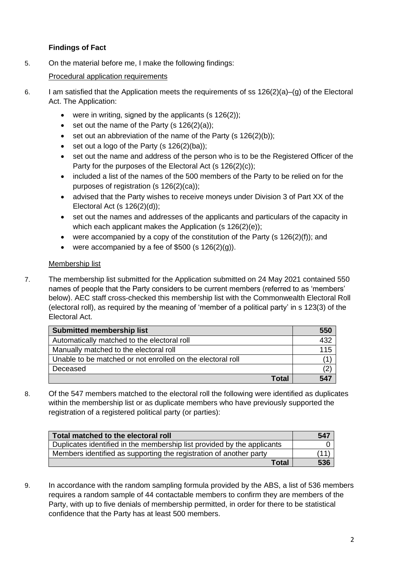## **Findings of Fact**

5. On the material before me, I make the following findings:

### Procedural application requirements

- 6. I am satisfied that the Application meets the requirements of ss 126(2)(a)–(g) of the Electoral Act. The Application:
	- were in writing, signed by the applicants  $(s 126(2))$ ;
	- set out the name of the Party  $(s 126(2)(a))$ ;
	- set out an abbreviation of the name of the Party (s  $126(2)(b)$ );
	- set out a logo of the Party  $(s 126(2)(ba))$ ;
	- set out the name and address of the person who is to be the Registered Officer of the Party for the purposes of the Electoral Act (s 126(2)(c));
	- included a list of the names of the 500 members of the Party to be relied on for the purposes of registration (s 126(2)(ca));
	- advised that the Party wishes to receive moneys under Division 3 of Part XX of the Electoral Act (s 126(2)(d));
	- set out the names and addresses of the applicants and particulars of the capacity in which each applicant makes the Application (s 126(2)(e));
	- were accompanied by a copy of the constitution of the Party (s 126(2)(f)); and
	- were accompanied by a fee of  $$500$  (s  $126(2)(q)$ ).

#### Membership list

7. The membership list submitted for the Application submitted on 24 May 2021 contained 550 names of people that the Party considers to be current members (referred to as 'members' below). AEC staff cross-checked this membership list with the Commonwealth Electoral Roll (electoral roll), as required by the meaning of 'member of a political party' in s 123(3) of the Electoral Act.

| <b>Submitted membership list</b>                           | 550 |
|------------------------------------------------------------|-----|
| Automatically matched to the electoral roll                | 432 |
| Manually matched to the electoral roll                     | 115 |
| Unable to be matched or not enrolled on the electoral roll |     |
| Deceased                                                   | (2  |
| Total                                                      | 547 |

8. Of the 547 members matched to the electoral roll the following were identified as duplicates within the membership list or as duplicate members who have previously supported the registration of a registered political party (or parties):

| Total matched to the electoral roll                                     | 547 |
|-------------------------------------------------------------------------|-----|
| Duplicates identified in the membership list provided by the applicants |     |
| Members identified as supporting the registration of another party      |     |
| Total                                                                   | 536 |

9. In accordance with the random sampling formula provided by the ABS, a list of 536 members requires a random sample of 44 contactable members to confirm they are members of the Party, with up to five denials of membership permitted, in order for there to be statistical confidence that the Party has at least 500 members.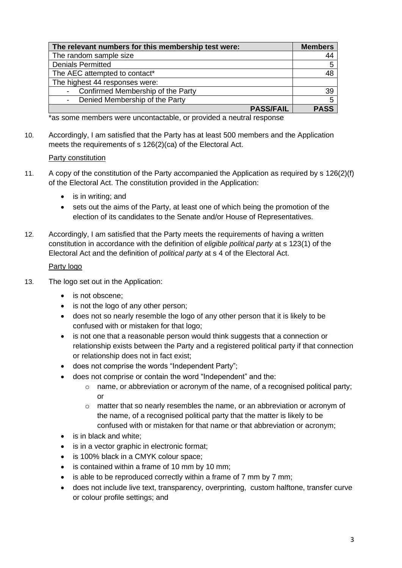| The relevant numbers for this membership test were:           | <b>Members</b> |
|---------------------------------------------------------------|----------------|
| The random sample size                                        |                |
| <b>Denials Permitted</b>                                      |                |
| The AEC attempted to contact*                                 |                |
| The highest 44 responses were:                                |                |
| Confirmed Membership of the Party<br>$\overline{\phantom{a}}$ | -39            |
| Denied Membership of the Party<br>$\overline{\phantom{a}}$    | 5              |
| <b>PASS/FAIL</b>                                              | <b>PASS</b>    |

\*as some members were uncontactable, or provided a neutral response

10. Accordingly, I am satisfied that the Party has at least 500 members and the Application meets the requirements of s 126(2)(ca) of the Electoral Act.

#### Party constitution

- 11. A copy of the constitution of the Party accompanied the Application as required by s 126(2)(f) of the Electoral Act. The constitution provided in the Application:
	- is in writing; and
	- sets out the aims of the Party, at least one of which being the promotion of the election of its candidates to the Senate and/or House of Representatives.
- 12. Accordingly, I am satisfied that the Party meets the requirements of having a written constitution in accordance with the definition of *eligible political party* at s 123(1) of the Electoral Act and the definition of *political party* at s 4 of the Electoral Act.

#### Party logo

- 13. The logo set out in the Application:
	- is not obscene:
	- is not the logo of any other person;
	- does not so nearly resemble the logo of any other person that it is likely to be confused with or mistaken for that logo;
	- is not one that a reasonable person would think suggests that a connection or relationship exists between the Party and a registered political party if that connection or relationship does not in fact exist;
	- does not comprise the words "Independent Party";
	- does not comprise or contain the word "Independent" and the:
		- $\circ$  name, or abbreviation or acronym of the name, of a recognised political party; or
		- o matter that so nearly resembles the name, or an abbreviation or acronym of the name, of a recognised political party that the matter is likely to be confused with or mistaken for that name or that abbreviation or acronym;
	- is in black and white;
	- is in a vector graphic in electronic format;
	- is 100% black in a CMYK colour space;
	- is contained within a frame of 10 mm by 10 mm;
	- is able to be reproduced correctly within a frame of 7 mm by 7 mm;
	- does not include live text, transparency, overprinting, custom halftone, transfer curve or colour profile settings; and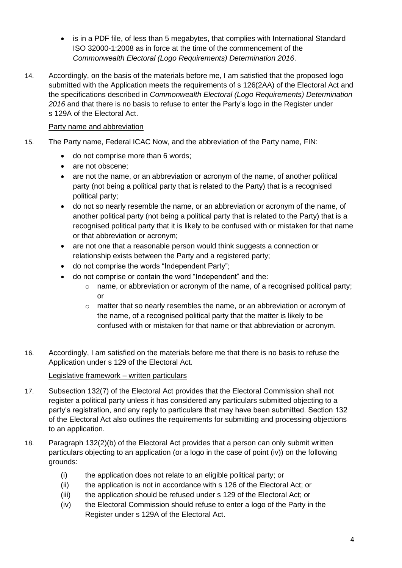- is in a PDF file, of less than 5 megabytes, that complies with International Standard ISO 32000-1:2008 as in force at the time of the commencement of the *Commonwealth Electoral (Logo Requirements) Determination 2016*.
- 14. Accordingly, on the basis of the materials before me, I am satisfied that the proposed logo submitted with the Application meets the requirements of s 126(2AA) of the Electoral Act and the specifications described in *Commonwealth Electoral (Logo Requirements) Determination 2016* and that there is no basis to refuse to enter the Party's logo in the Register under s 129A of the Electoral Act.

## Party name and abbreviation

- 15. The Party name, Federal ICAC Now, and the abbreviation of the Party name, FIN:
	- do not comprise more than 6 words;
	- are not obscene;
	- are not the name, or an abbreviation or acronym of the name, of another political party (not being a political party that is related to the Party) that is a recognised political party;
	- do not so nearly resemble the name, or an abbreviation or acronym of the name, of another political party (not being a political party that is related to the Party) that is a recognised political party that it is likely to be confused with or mistaken for that name or that abbreviation or acronym;
	- are not one that a reasonable person would think suggests a connection or relationship exists between the Party and a registered party;
	- do not comprise the words "Independent Party";
	- do not comprise or contain the word "Independent" and the:
		- o name, or abbreviation or acronym of the name, of a recognised political party; or
		- o matter that so nearly resembles the name, or an abbreviation or acronym of the name, of a recognised political party that the matter is likely to be confused with or mistaken for that name or that abbreviation or acronym.
- 16. Accordingly, I am satisfied on the materials before me that there is no basis to refuse the Application under s 129 of the Electoral Act.

#### Legislative framework – written particulars

- 17. Subsection 132(7) of the Electoral Act provides that the Electoral Commission shall not register a political party unless it has considered any particulars submitted objecting to a party's registration, and any reply to particulars that may have been submitted. Section 132 of the Electoral Act also outlines the requirements for submitting and processing objections to an application.
- 18. Paragraph 132(2)(b) of the Electoral Act provides that a person can only submit written particulars objecting to an application (or a logo in the case of point (iv)) on the following grounds:
	- (i) the application does not relate to an eligible political party; or
	- (ii) the application is not in accordance with s 126 of the Electoral Act; or
	- (iii) the application should be refused under s 129 of the Electoral Act; or
	- (iv) the Electoral Commission should refuse to enter a logo of the Party in the Register under s 129A of the Electoral Act.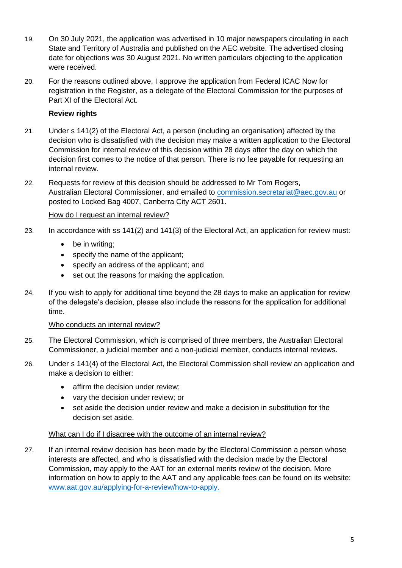- 19. On 30 July 2021, the application was advertised in 10 major newspapers circulating in each State and Territory of Australia and published on the AEC website. The advertised closing date for objections was 30 August 2021. No written particulars objecting to the application were received.
- 20. For the reasons outlined above, I approve the application from Federal ICAC Now for registration in the Register, as a delegate of the Electoral Commission for the purposes of Part XI of the Electoral Act.

### **Review rights**

- 21. Under s 141(2) of the Electoral Act, a person (including an organisation) affected by the decision who is dissatisfied with the decision may make a written application to the Electoral Commission for internal review of this decision within 28 days after the day on which the decision first comes to the notice of that person. There is no fee payable for requesting an internal review.
- 22. Requests for review of this decision should be addressed to Mr Tom Rogers, Australian Electoral Commissioner, and emailed to [commission.secretariat@aec.gov.au](mailto:commission.secretariat@aec.gov.au) or posted to Locked Bag 4007, Canberra City ACT 2601.

#### How do I request an internal review?

- 23. In accordance with ss 141(2) and 141(3) of the Electoral Act, an application for review must:
	- be in writing;
	- specify the name of the applicant;
	- specify an address of the applicant; and
	- set out the reasons for making the application.
- 24. If you wish to apply for additional time beyond the 28 days to make an application for review of the delegate's decision, please also include the reasons for the application for additional time.

#### Who conducts an internal review?

- 25. The Electoral Commission, which is comprised of three members, the Australian Electoral Commissioner, a judicial member and a non-judicial member, conducts internal reviews.
- 26. Under s 141(4) of the Electoral Act, the Electoral Commission shall review an application and make a decision to either:
	- affirm the decision under review;
	- vary the decision under review; or
	- set aside the decision under review and make a decision in substitution for the decision set aside.

#### What can I do if I disagree with the outcome of an internal review?

27. If an internal review decision has been made by the Electoral Commission a person whose interests are affected, and who is dissatisfied with the decision made by the Electoral Commission, may apply to the AAT for an external merits review of the decision. More information on how to apply to the AAT and any applicable fees can be found on its website: [www.aat.gov.au/applying-for-a-review/how-to-apply.](http://www.aat.gov.au/applying-for-a-review/how-to-apply)